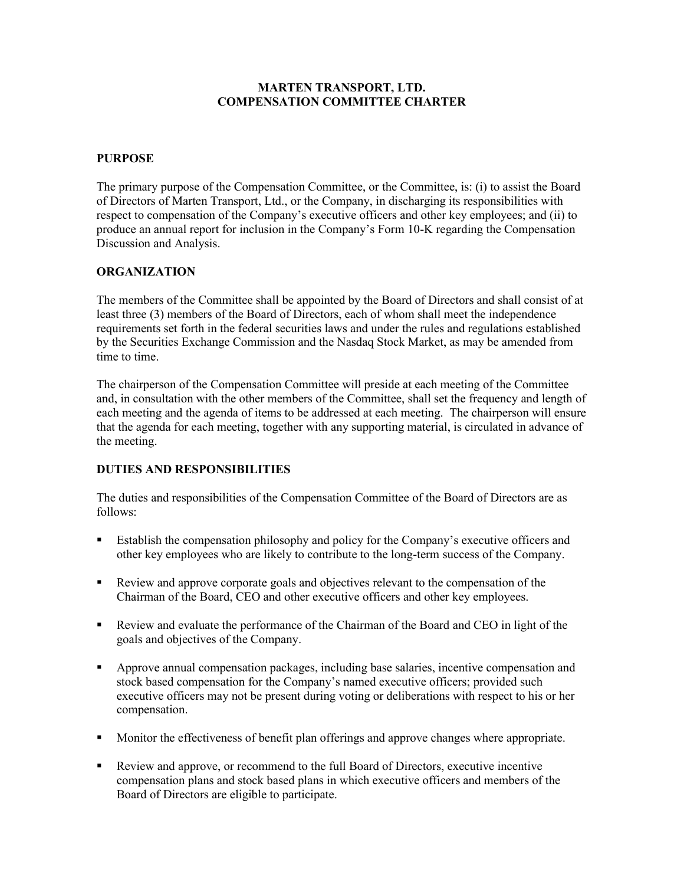## **MARTEN TRANSPORT, LTD. COMPENSATION COMMITTEE CHARTER**

## **PURPOSE**

The primary purpose of the Compensation Committee, or the Committee, is: (i) to assist the Board of Directors of Marten Transport, Ltd., or the Company, in discharging its responsibilities with respect to compensation of the Company's executive officers and other key employees; and (ii) to produce an annual report for inclusion in the Company's Form 10-K regarding the Compensation Discussion and Analysis.

## **ORGANIZATION**

The members of the Committee shall be appointed by the Board of Directors and shall consist of at least three (3) members of the Board of Directors, each of whom shall meet the independence requirements set forth in the federal securities laws and under the rules and regulations established by the Securities Exchange Commission and the Nasdaq Stock Market, as may be amended from time to time.

The chairperson of the Compensation Committee will preside at each meeting of the Committee and, in consultation with the other members of the Committee, shall set the frequency and length of each meeting and the agenda of items to be addressed at each meeting. The chairperson will ensure that the agenda for each meeting, together with any supporting material, is circulated in advance of the meeting.

## **DUTIES AND RESPONSIBILITIES**

The duties and responsibilities of the Compensation Committee of the Board of Directors are as follows:

- Establish the compensation philosophy and policy for the Company's executive officers and other key employees who are likely to contribute to the long-term success of the Company.
- Review and approve corporate goals and objectives relevant to the compensation of the Chairman of the Board, CEO and other executive officers and other key employees.
- Review and evaluate the performance of the Chairman of the Board and CEO in light of the goals and objectives of the Company.
- Approve annual compensation packages, including base salaries, incentive compensation and stock based compensation for the Company's named executive officers; provided such executive officers may not be present during voting or deliberations with respect to his or her compensation.
- Monitor the effectiveness of benefit plan offerings and approve changes where appropriate.
- Review and approve, or recommend to the full Board of Directors, executive incentive compensation plans and stock based plans in which executive officers and members of the Board of Directors are eligible to participate.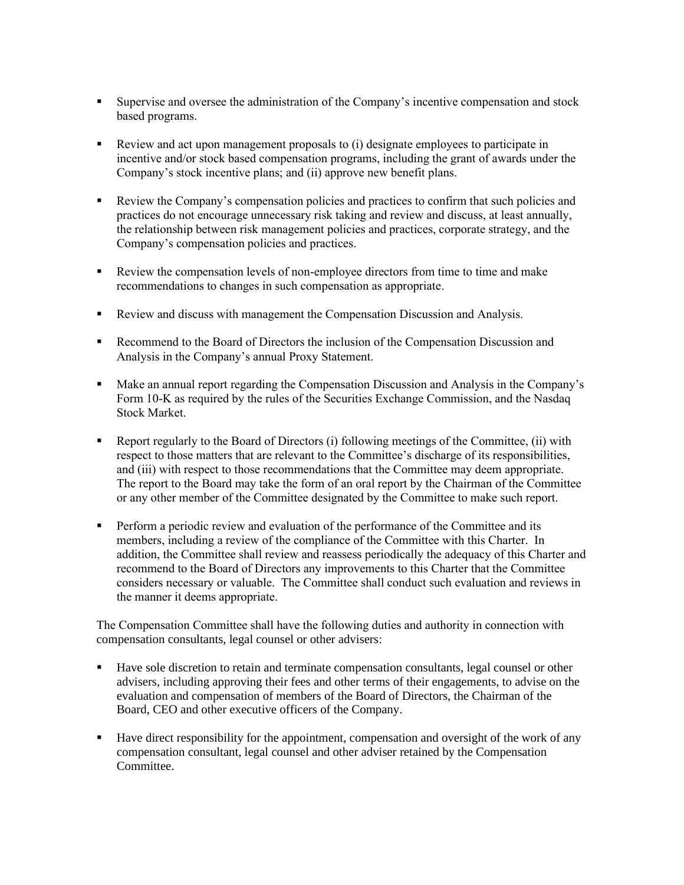- Supervise and oversee the administration of the Company's incentive compensation and stock based programs.
- Review and act upon management proposals to (i) designate employees to participate in incentive and/or stock based compensation programs, including the grant of awards under the Company's stock incentive plans; and (ii) approve new benefit plans.
- Review the Company's compensation policies and practices to confirm that such policies and practices do not encourage unnecessary risk taking and review and discuss, at least annually, the relationship between risk management policies and practices, corporate strategy, and the Company's compensation policies and practices.
- Review the compensation levels of non-employee directors from time to time and make recommendations to changes in such compensation as appropriate.
- Review and discuss with management the Compensation Discussion and Analysis.
- **Recommend to the Board of Directors the inclusion of the Compensation Discussion and** Analysis in the Company's annual Proxy Statement.
- Make an annual report regarding the Compensation Discussion and Analysis in the Company's Form 10-K as required by the rules of the Securities Exchange Commission, and the Nasdaq Stock Market.
- Report regularly to the Board of Directors (i) following meetings of the Committee, (ii) with respect to those matters that are relevant to the Committee's discharge of its responsibilities, and (iii) with respect to those recommendations that the Committee may deem appropriate. The report to the Board may take the form of an oral report by the Chairman of the Committee or any other member of the Committee designated by the Committee to make such report.
- **•** Perform a periodic review and evaluation of the performance of the Committee and its members, including a review of the compliance of the Committee with this Charter. In addition, the Committee shall review and reassess periodically the adequacy of this Charter and recommend to the Board of Directors any improvements to this Charter that the Committee considers necessary or valuable. The Committee shall conduct such evaluation and reviews in the manner it deems appropriate.

The Compensation Committee shall have the following duties and authority in connection with compensation consultants, legal counsel or other advisers:

- Have sole discretion to retain and terminate compensation consultants, legal counsel or other advisers, including approving their fees and other terms of their engagements, to advise on the evaluation and compensation of members of the Board of Directors, the Chairman of the Board, CEO and other executive officers of the Company.
- Have direct responsibility for the appointment, compensation and oversight of the work of any compensation consultant, legal counsel and other adviser retained by the Compensation Committee.